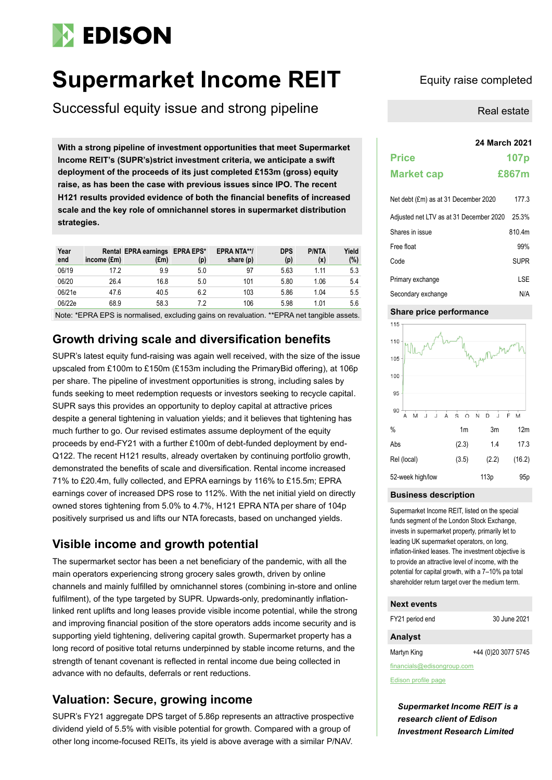# **EDISON**

## **Supermarket Income REIT** Equity raise completed

Successful equity issue and strong pipeline

**24 March 2021 With a strong pipeline of investment opportunities that meet Supermarket Income REIT's (SUPR's)strict investment criteria, we anticipate a swift deployment of the proceeds of its just completed £153m (gross) equity raise, as has been the case with previous issues since IPO. The recent H121 results provided evidence of both the financial benefits of increased scale and the key role of omnichannel stores in supermarket distribution strategies.** 

| Year<br>end | income (£m) | Rental EPRA earnings EPRA EPS*<br>(£m) | (p) | <b>EPRA NTA**/</b><br>share (p) | <b>DPS</b><br>(p) | <b>P/NTA</b><br>(x) | Yield<br>(%) |
|-------------|-------------|----------------------------------------|-----|---------------------------------|-------------------|---------------------|--------------|
| 06/19       | 17.2        | 9.9                                    | 5.0 | 97                              | 5.63              | 1.11                | 5.3          |
| 06/20       | 26.4        | 16.8                                   | 5.0 | 101                             | 5.80              | 1.06                | 5.4          |
| 06/21e      | 47.6        | 40.5                                   | 6.2 | 103                             | 5.86              | 1.04                | 5.5          |
| 06/22e      | 68.9        | 58.3                                   | 7.2 | 106                             | 5.98              | 1.01                | 5.6          |

Note: \*EPRA EPS is normalised, excluding gains on revaluation. \*\*EPRA net tangible assets.

## **Growth driving scale and diversification benefits**

SUPR's latest equity fund-raising was again well received, with the size of the issue upscaled from £100m to £150m (£153m including the PrimaryBid offering), at 106p per share. The pipeline of investment opportunities is strong, including sales by funds seeking to meet redemption requests or investors seeking to recycle capital. SUPR says this provides an opportunity to deploy capital at attractive prices despite a general tightening in valuation yields; and it believes that tightening has much further to go. Our revised estimates assume deployment of the equity proceeds by end-FY21 with a further £100m of debt-funded deployment by end-Q122. The recent H121 results, already overtaken by continuing portfolio growth, demonstrated the benefits of scale and diversification. Rental income increased 71% to £20.4m, fully collected, and EPRA earnings by 116% to £15.5m; EPRA earnings cover of increased DPS rose to 112%. With the net initial yield on directly owned stores tightening from 5.0% to 4.7%, H121 EPRA NTA per share of 104p positively surprised us and lifts our NTA forecasts, based on unchanged yields.

## **Visible income and growth potential**

The supermarket sector has been a net beneficiary of the pandemic, with all the main operators experiencing strong grocery sales growth, driven by online channels and mainly fulfilled by omnichannel stores (combining in-store and online fulfilment), of the type targeted by SUPR. Upwards-only, predominantly inflationlinked rent uplifts and long leases provide visible income potential, while the strong and improving financial position of the store operators adds income security and is supporting yield tightening, delivering capital growth. Supermarket property has a long record of positive total returns underpinned by stable income returns, and the strength of tenant covenant is reflected in rental income due being collected in advance with no defaults, deferrals or rent reductions.

## **Valuation: Secure, growing income**

SUPR's FY21 aggregate DPS target of 5.86p represents an attractive prospective dividend yield of 5.5% with visible potential for growth. Compared with a group of other long income-focused REITs, its yield is above average with a similar P/NAV.

Real estate

| 24 March 2021                           |                  |
|-----------------------------------------|------------------|
| <b>Price</b>                            | 107 <sub>p</sub> |
| <b>Market cap</b>                       | £867m            |
| Net debt (£m) as at 31 December 2020    | 177.3            |
| Adjusted net LTV as at 31 December 2020 | 25.3%            |
| Shares in issue                         | 810.4m           |
| Free float                              | 99%              |
| Code                                    | <b>SUPR</b>      |
| Primary exchange                        | LSE              |
| Secondary exchange                      | N/A              |

### **Share price performance**



### **Business description**

Supermarket Income REIT, listed on the special funds segment of the London Stock Exchange, invests in supermarket property, primarily let to leading UK supermarket operators, on long, inflation-linked leases. The investment objective is to provide an attractive level of income, with the potential for capital growth, with a 7–10% pa total shareholder return target over the medium term.

## **Next events**

FY21 period end 30 June 2021

### **Analyst**

Martyn King +44 (0)20 3077 5745

financials@edisongroup.com

[Edison profile page](https://www.edisongroup.com/company/supermarket-income-reit/2751/)

*Supermarket Income REIT is a research client of Edison Investment Research Limited*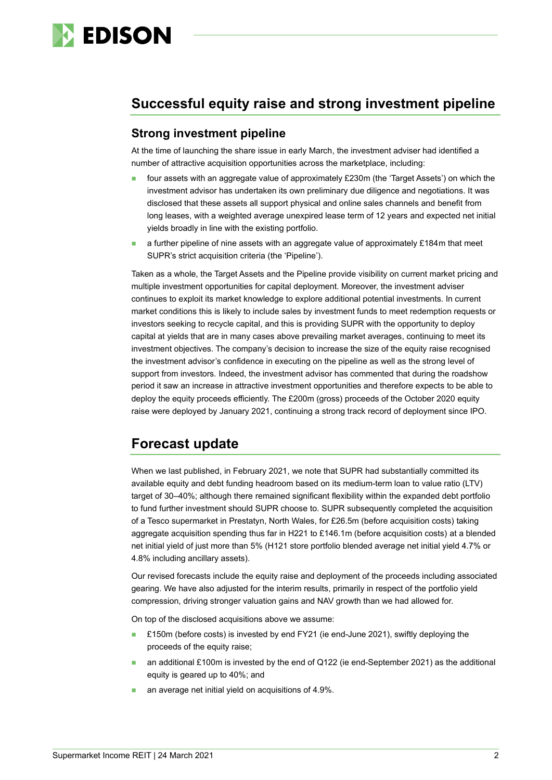

## **Successful equity raise and strong investment pipeline**

## **Strong investment pipeline**

At the time of launching the share issue in early March, the investment adviser had identified a number of attractive acquisition opportunities across the marketplace, including:

- four assets with an aggregate value of approximately £230m (the 'Target Assets') on which the investment advisor has undertaken its own preliminary due diligence and negotiations. It was disclosed that these assets all support physical and online sales channels and benefit from long leases, with a weighted average unexpired lease term of 12 years and expected net initial yields broadly in line with the existing portfolio.
- a further pipeline of nine assets with an aggregate value of approximately £184m that meet SUPR's strict acquisition criteria (the 'Pipeline').

Taken as a whole, the Target Assets and the Pipeline provide visibility on current market pricing and multiple investment opportunities for capital deployment. Moreover, the investment adviser continues to exploit its market knowledge to explore additional potential investments. In current market conditions this is likely to include sales by investment funds to meet redemption requests or investors seeking to recycle capital, and this is providing SUPR with the opportunity to deploy capital at yields that are in many cases above prevailing market averages, continuing to meet its investment objectives. The company's decision to increase the size of the equity raise recognised the investment advisor's confidence in executing on the pipeline as well as the strong level of support from investors. Indeed, the investment advisor has commented that during the roadshow period it saw an increase in attractive investment opportunities and therefore expects to be able to deploy the equity proceeds efficiently. The £200m (gross) proceeds of the October 2020 equity raise were deployed by January 2021, continuing a strong track record of deployment since IPO.

## **Forecast update**

When we last published, in February 2021, we note that SUPR had substantially committed its available equity and debt funding headroom based on its medium-term loan to value ratio (LTV) target of 30–40%; although there remained significant flexibility within the expanded debt portfolio to fund further investment should SUPR choose to. SUPR subsequently completed the acquisition of a Tesco supermarket in Prestatyn, North Wales, for £26.5m (before acquisition costs) taking aggregate acquisition spending thus far in H221 to £146.1m (before acquisition costs) at a blended net initial yield of just more than 5% (H121 store portfolio blended average net initial yield 4.7% or 4.8% including ancillary assets).

Our revised forecasts include the equity raise and deployment of the proceeds including associated gearing. We have also adjusted for the interim results, primarily in respect of the portfolio yield compression, driving stronger valuation gains and NAV growth than we had allowed for.

On top of the disclosed acquisitions above we assume:

- £150m (before costs) is invested by end FY21 (ie end-June 2021), swiftly deploying the proceeds of the equity raise;
- an additional £100m is invested by the end of Q122 (ie end-September 2021) as the additional equity is geared up to 40%; and
- an average net initial yield on acquisitions of 4.9%.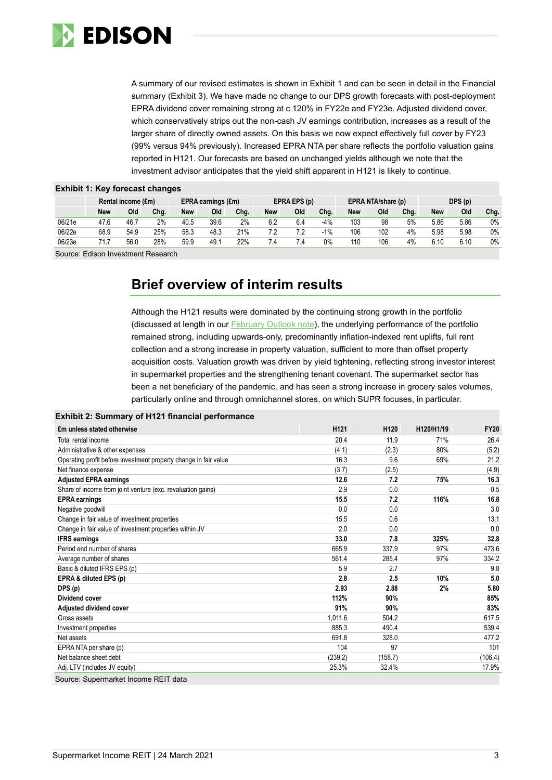

A summary of our revised estimates is shown in Exhibit 1 and can be seen in detail in the Financial summary (Exhibit 3). We have made no change to our DPS growth forecasts with post-deployment EPRA dividend cover remaining strong at c 120% in FY22e and FY23e. Adjusted dividend cover, which conservatively strips out the non-cash JV earnings contribution, increases as a result of the larger share of directly owned assets. On this basis we now expect effectively full cover by FY23 (99% versus 94% previously). Increased EPRA NTA per share reflects the portfolio valuation gains reported in H121. Our forecasts are based on unchanged yields although we note that the investment advisor anticipates that the yield shift apparent in H121 is likely to continue.

| <b>EATING 11 INSTRUCTOORS, SHAHINGS</b> |                    |      |                    |      |              |      |                    |     |       |        |     |      |            |      |      |
|-----------------------------------------|--------------------|------|--------------------|------|--------------|------|--------------------|-----|-------|--------|-----|------|------------|------|------|
|                                         | Rental income (£m) |      | EPRA earnings (£m) |      | EPRA EPS (p) |      | EPRA NTA/share (p) |     |       | DPS(p) |     |      |            |      |      |
|                                         | <b>New</b>         | Old  | Cha.               | New  | Old          | Cha. | New                | Old | Chg.  | New    | Old | Cha. | <b>New</b> | Old  | Chg. |
| 06/21e                                  | 47.6               | 46.7 | 2%                 | 40.5 | 39.6         | 2%   | 6.2                | 6.4 | $-4%$ | 103    | 98  | 5%   | 5.86       | 5.86 | 0%   |
| 06/22e                                  | 68.9               | 54.9 | 25%                | 58.3 | 48.3         | 21%  | 7.2                |     | $-1%$ | 106    | 102 | 4%   | 5.98       | 5.98 | 0%   |
| 06/23e                                  | 71 7               | 56.0 | 28%                | 59.9 | 49.1         | 22%  | 7.4                | '.4 | 0%    | 110    | 106 | 4%   | 6.10       | 6.10 | 0%   |
|                                         |                    |      |                    |      |              |      |                    |     |       |        |     |      |            |      |      |

## **Exhibit 1: Key forecast changes**

Source: Edison Investment Research

## **Brief overview of interim results**

Although the H121 results were dominated by the continuing strong growth in the portfolio (discussed at length in our [February Outlook note\)](https://www.edisongroup.com/publication/strong-accretive-growth-continuing/28866/), the underlying performance of the portfolio remained strong, including upwards-only, predominantly inflation-indexed rent uplifts, full rent collection and a strong increase in property valuation, sufficient to more than offset property acquisition costs. Valuation growth was driven by yield tightening, reflecting strong investor interest in supermarket properties and the strengthening tenant covenant. The supermarket sector has been a net beneficiary of the pandemic, and has seen a strong increase in grocery sales volumes, particularly online and through omnichannel stores, on which SUPR focuses, in particular.

| Exhibit 2: Summary of H121 financial performance |  |  |
|--------------------------------------------------|--|--|
|                                                  |  |  |

| £m unless stated otherwise                                       | H <sub>121</sub> | H <sub>120</sub> | H120/H1/19 | <b>FY20</b> |
|------------------------------------------------------------------|------------------|------------------|------------|-------------|
| Total rental income                                              | 20.4             | 11.9             | 71%        | 26.4        |
| Administrative & other expenses                                  | (4.1)            | (2.3)            | 80%        | (5.2)       |
| Operating profit before investment property change in fair value | 16.3             | 9.6              | 69%        | 21.2        |
| Net finance expense                                              | (3.7)            | (2.5)            |            | (4.9)       |
| <b>Adjusted EPRA earnings</b>                                    | 12.6             | 7.2              | 75%        | 16.3        |
| Share of income from joint venture (exc. revaluation gains)      | 2.9              | 0.0              |            | 0.5         |
| <b>EPRA</b> earnings                                             | 15.5             | 7.2              | 116%       | 16.8        |
| Negative goodwill                                                | 0.0              | 0.0              |            | 3.0         |
| Change in fair value of investment properties                    | 15.5             | 0.6              |            | 13.1        |
| Change in fair value of investment properties within JV          | 2.0              | 0.0              |            | 0.0         |
| <b>IFRS earnings</b>                                             | 33.0             | 7.8              | 325%       | 32.8        |
| Period end number of shares                                      | 665.9            | 337.9            | 97%        | 473.6       |
| Average number of shares                                         | 561.4            | 285.4            | 97%        | 334.2       |
| Basic & diluted IFRS EPS (p)                                     | 5.9              | 2.7              |            | 9.8         |
| EPRA & diluted EPS (p)                                           | 2.8              | 2.5              | 10%        | 5.0         |
| DPS (p)                                                          | 2.93             | 2.88             | 2%         | 5.80        |
| <b>Dividend cover</b>                                            | 112%             | 90%              |            | 85%         |
| Adjusted dividend cover                                          | 91%              | 90%              |            | 83%         |
| Gross assets                                                     | 1.011.6          | 504.2            |            | 617.5       |
| Investment properties                                            | 885.3            | 490.4            |            | 539.4       |
| Net assets                                                       | 691.8            | 328.0            |            | 477.2       |
| EPRA NTA per share (p)                                           | 104              | 97               |            | 101         |
| Net balance sheet debt                                           | (239.2)          | (158.7)          |            | (106.4)     |
| Adj. LTV (includes JV equity)                                    | 25.3%            | 32.4%            |            | 17.9%       |
| Source: Supermarket Income REIT data                             |                  |                  |            |             |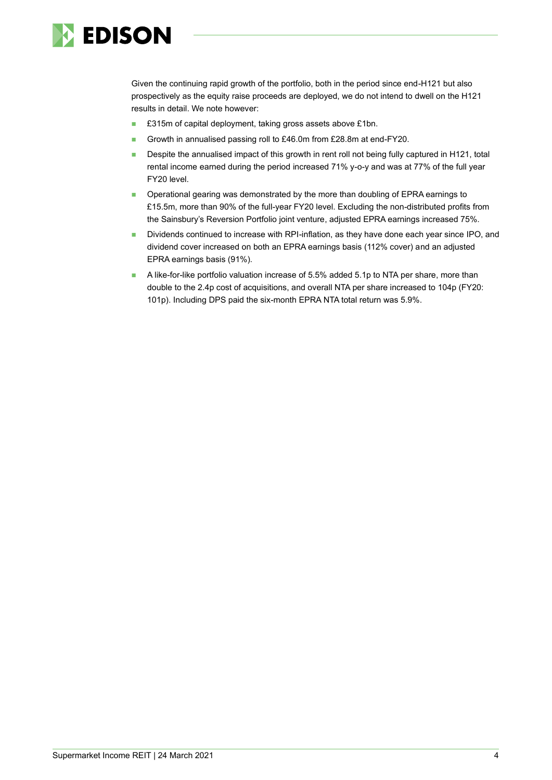

Given the continuing rapid growth of the portfolio, both in the period since end-H121 but also prospectively as the equity raise proceeds are deployed, we do not intend to dwell on the H121 results in detail. We note however:

- £315m of capital deployment, taking gross assets above £1bn.
- Growth in annualised passing roll to £46.0m from £28.8m at end-FY20.
- Despite the annualised impact of this growth in rent roll not being fully captured in H121, total rental income earned during the period increased 71% y-o-y and was at 77% of the full year FY20 level.
- Operational gearing was demonstrated by the more than doubling of EPRA earnings to £15.5m, more than 90% of the full-year FY20 level. Excluding the non-distributed profits from the Sainsbury's Reversion Portfolio joint venture, adjusted EPRA earnings increased 75%.
- Dividends continued to increase with RPI-inflation, as they have done each year since IPO, and dividend cover increased on both an EPRA earnings basis (112% cover) and an adjusted EPRA earnings basis (91%).
- A like-for-like portfolio valuation increase of 5.5% added 5.1p to NTA per share, more than double to the 2.4p cost of acquisitions, and overall NTA per share increased to 104p (FY20: 101p). Including DPS paid the six-month EPRA NTA total return was 5.9%.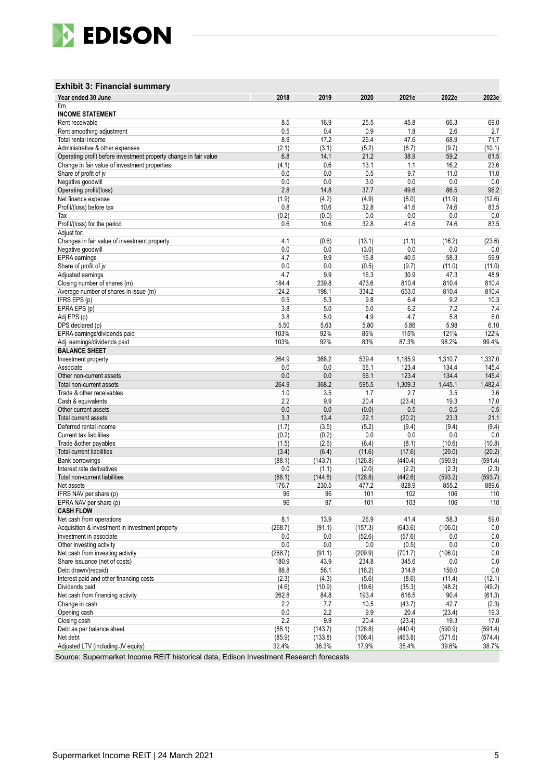

## **Exhibit 3: Financial summary**

| Year ended 30 June                                               | 2018           | 2019           | 2020         | 2021e        | 2022e         | 2023e            |
|------------------------------------------------------------------|----------------|----------------|--------------|--------------|---------------|------------------|
| £m                                                               |                |                |              |              |               |                  |
| <b>INCOME STATEMENT</b>                                          |                |                |              |              |               |                  |
| Rent receivable                                                  | 8.5            | 16.9           | 25.5         | 45.8         | 66.3          | 69.0             |
| Rent smoothing adjustment                                        | 0.5            | 0.4            | 0.9          | 1.8          | 2.6           | 2.7              |
| Total rental income                                              | 8.9            | 17.2           | 26.4         | 47.6         | 68.9          | 71.7             |
| Administrative & other expenses                                  | (2.1)          | (3.1)          | (5.2)        | (8.7)        | (9.7)         | (10.1)           |
| Operating profit before investment property change in fair value | 6.8            | 14.1           | 21.2         | 38.9         | 59.2          | 61.5             |
| Change in fair value of investment properties                    | (4.1)          | 0.6            | 13.1         | 1.1<br>9.7   | 16.2          | 23.6             |
| Share of profit of jv                                            | 0.0            | 0.0<br>0.0     | 0.5<br>3.0   | 0.0          | 11.0<br>0.0   | 11.0<br>0.0      |
| Negative goodwill                                                | 0.0<br>2.8     | 14.8           | 37.7         | 49.6         | 86.5          | 96.2             |
| Operating profit/(loss)<br>Net finance expense                   | (1.9)          | (4.2)          | (4.9)        | (8.0)        | (11.9)        | (12.6)           |
| Profit/(loss) before tax                                         | 0.8            | 10.6           | 32.8         | 41.6         | 74.6          | 83.5             |
| Tax                                                              | (0.2)          | (0.0)          | 0.0          | 0.0          | 0.0           | 0.0              |
| Profit/(loss) for the period                                     | 0.6            | 10.6           | 32.8         | 41.6         | 74.6          | 83.5             |
| Adjust for:                                                      |                |                |              |              |               |                  |
| Changes in fair value of investment property                     | 4.1            | (0.6)          | (13.1)       | (1.1)        | (16.2)        | (23.6)           |
| Negative goodwill                                                | 0.0            | 0.0            | (3.0)        | 0.0          | 0.0           | 0.0              |
| EPRA earnings                                                    | 4.7            | 9.9            | 16.8         | 40.5         | 58.3          | 59.9             |
| Share of profit of jv                                            | 0.0            | 0.0            | (0.5)        | (9.7)        | (11.0)        | (11.0)           |
| Adjusted earnings                                                | 4.7            | 9.9            | 16.3         | 30.9         | 47.3          | 48.9             |
| Closing number of shares (m)                                     | 184.4          | 239.8          | 473.6        | 810.4        | 810.4         | 810.4            |
| Average number of shares in issue (m)                            | 124.2          | 198.1          | 334.2        | 653.0        | 810.4         | 810.4            |
| IFRS EPS (p)                                                     | 0.5            | 5.3            | 9.8          | 6.4          | 9.2           | 10.3             |
| EPRA EPS (p)                                                     | 3.8            | 5.0            | 5.0          | 6.2          | 7.2           | 7.4              |
| Adj EPS (p)                                                      | 3.8            | 5.0            | 4.9          | 4.7          | 5.8           | 6.0              |
| DPS declared (p)                                                 | 5.50           | 5.63           | 5.80         | 5.86         | 5.98          | 6.10             |
| EPRA earnings/dividends paid                                     | 103%           | 92%            | 85%          | 115%         | 121%          | 122%             |
| Adj. earnings/dividends paid                                     | 103%           | 92%            | 83%          | 87.3%        | 98.2%         | 99.4%            |
| <b>BALANCE SHEET</b>                                             |                |                |              |              |               |                  |
| Investment property                                              | 264.9          | 368.2          | 539.4        | 1,185.9      | 1,310.7       | 1,337.0          |
| Associate                                                        | 0.0            | 0.0            | 56.1         | 123.4        | 134.4         | 145.4            |
| Other non-current assets                                         | 0.0            | 0.0            | 56.1         | 123.4        | 134.4         | 145.4            |
| Total non-current assets                                         | 264.9          | 368.2          | 595.5        | 1,309.3      | 1,445.1       | 1,482.4          |
| Trade & other receivables                                        | 1.0            | 3.5            | 1.7          | 2.7          | 3.5           | 3.6              |
| Cash & equivalents                                               | 2.2            | 9.9            | 20.4         | (23.4)       | 19.3          | 17.0             |
| Other current assets                                             | 0.0            | 0.0            | (0.0)        | 0.5          | 0.5           | 0.5              |
| Total current assets                                             | 3.3            | 13.4           | 22.1         | (20.2)       | 23.3          | 21.1             |
| Deferred rental income                                           | (1.7)          | (3.5)          | (5.2)        | (9.4)        | (9.4)         | (9.4)            |
| <b>Current tax liabilities</b>                                   | (0.2)<br>(1.5) | (0.2)<br>(2.6) | 0.0<br>(6.4) | 0.0<br>(8.1) | 0.0<br>(10.6) | 0.0              |
| Trade & other payables<br><b>Total current liabilities</b>       | (3.4)          | (6.4)          | (11.6)       | (17.6)       | (20.0)        | (10.8)<br>(20.2) |
| <b>Bank borrowings</b>                                           | (88.1)         | (143.7)        | (126.8)      | (440.4)      | (590.9)       | (591.4)          |
| Interest rate derivatives                                        | 0.0            | (1.1)          | (2.0)        | (2.2)        | (2.3)         | (2.3)            |
| Total non-current liabilities                                    | (88.1)         | (144.8)        | (128.8)      | (442.6)      | (593.2)       | (593.7)          |
| Net assets                                                       | 176.7          | 230.5          | 477.2        | 828.9        | 855.2         | 889.6            |
| IFRS NAV per share (p)                                           | 96             | 96             | 101          | 102          | 106           | 110              |
| EPRA NAV per share (p)                                           | 96             | 97             | 101          | 103          | 106           | 110              |
| <b>CASH FLOW</b>                                                 |                |                |              |              |               |                  |
| Net cash from operations                                         | 8.1            | 13.9           | 26.9         | 41.4         | 58.3          | 59.0             |
| Acquisition & investment in investment property                  | (268.7)        | (91.1)         | (157.3)      | (643.6)      | (106.0)       | 0.0              |
| Investment in associate                                          | 0.0            | 0.0            | (52.6)       | (57.6)       | 0.0           | 0.0              |
| Other investing activity                                         | 0.0            | 0.0            | 0.0          | (0.5)        | 0.0           | 0.0              |
| Net cash from investing activity                                 | (268.7)        | (91.1)         | (209.9)      | (701.7)      | (106.0)       | 0.0              |
| Share issuance (net of costs)                                    | 180.9          | 43.9           | 234.8        | 345.6        | 0.0           | 0.0              |
| Debt drawn/(repaid)                                              | 88.8           | 56.1           | (16.2)       | 314.8        | 150.0         | $0.0\,$          |
| Interest paid and other financing costs                          | (2.3)          | (4.3)          | (5.6)        | (8.6)        | (11.4)        | (12.1)           |
| Dividends paid                                                   | (4.6)          | (10.9)         | (19.6)       | (35.3)       | (48.2)        | (49.2)           |
| Net cash from financing activity                                 | 262.8          | 84.8           | 193.4        | 616.5        | 90.4          | (61.3)           |
| Change in cash                                                   | 2.2            | 7.7            | 10.5         | (43.7)       | 42.7          | (2.3)            |
| Opening cash                                                     | 0.0            | 2.2            | 9.9          | 20.4         | (23.4)        | 19.3             |
| Closing cash                                                     | 2.2            | 9.9            | 20.4         | (23.4)       | 19.3          | 17.0             |
| Debt as per balance sheet                                        | (88.1)         | (143.7)        | (126.8)      | (440.4)      | (590.9)       | (591.4)          |
| Net debt                                                         | (85.9)         | (133.8)        | (106.4)      | (463.8)      | (571.6)       | (574.4)          |
| Adjusted LTV (including JV equity)                               | 32.4%          | 36.3%          | 17.9%        | 35.4%        | 39.6%         | 38.7%            |

Source: Supermarket Income REIT historical data, Edison Investment Research forecasts